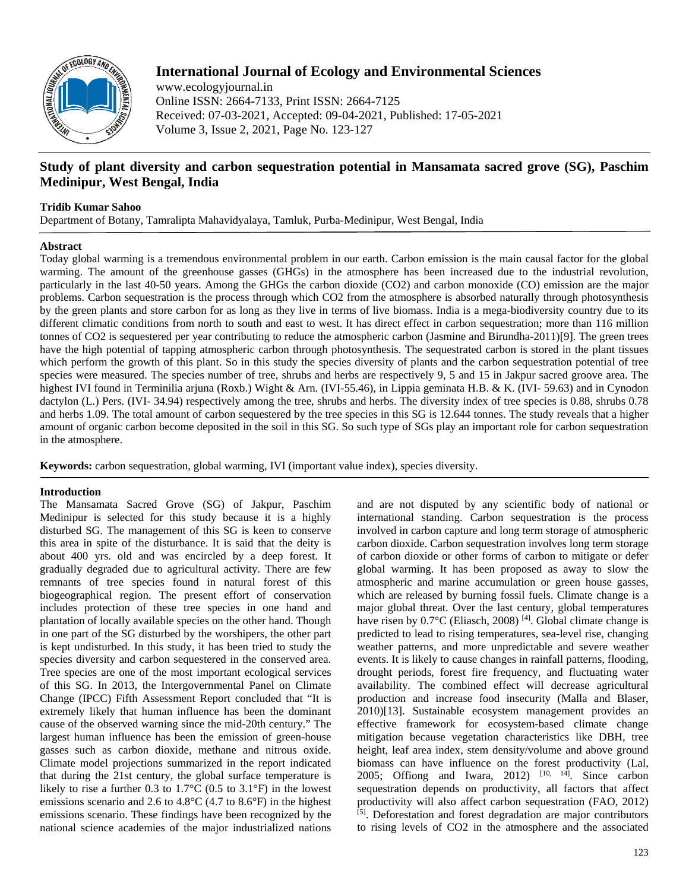

# **International Journal of Ecology and Environmental Sciences**

www.ecologyjournal.in Online ISSN: 2664-7133, Print ISSN: 2664-7125 Received: 07-03-2021, Accepted: 09-04-2021, Published: 17-05-2021 Volume 3, Issue 2, 2021, Page No. 123-127

# **Study of plant diversity and carbon sequestration potential in Mansamata sacred grove (SG), Paschim Medinipur, West Bengal, India**

## **Tridib Kumar Sahoo**

Department of Botany, Tamralipta Mahavidyalaya, Tamluk, Purba-Medinipur, West Bengal, India

## **Abstract**

Today global warming is a tremendous environmental problem in our earth. Carbon emission is the main causal factor for the global warming. The amount of the greenhouse gasses (GHGs) in the atmosphere has been increased due to the industrial revolution, particularly in the last 40-50 years. Among the GHGs the carbon dioxide (CO2) and carbon monoxide (CO) emission are the major problems. Carbon sequestration is the process through which CO2 from the atmosphere is absorbed naturally through photosynthesis by the green plants and store carbon for as long as they live in terms of live biomass. India is a mega-biodiversity country due to its different climatic conditions from north to south and east to west. It has direct effect in carbon sequestration; more than 116 million tonnes of CO2 is sequestered per year contributing to reduce the atmospheric carbon (Jasmine and Birundha-2011)[9]. The green trees have the high potential of tapping atmospheric carbon through photosynthesis. The sequestrated carbon is stored in the plant tissues which perform the growth of this plant. So in this study the species diversity of plants and the carbon sequestration potential of tree species were measured. The species number of tree, shrubs and herbs are respectively 9, 5 and 15 in Jakpur sacred groove area. The highest IVI found in Terminilia arjuna (Roxb.) Wight & Arn. (IVI-55.46), in Lippia geminata H.B. & K. (IVI- 59.63) and in Cynodon dactylon (L.) Pers. (IVI- 34.94) respectively among the tree, shrubs and herbs. The diversity index of tree species is 0.88, shrubs 0.78 and herbs 1.09. The total amount of carbon sequestered by the tree species in this SG is 12.644 tonnes. The study reveals that a higher amount of organic carbon become deposited in the soil in this SG. So such type of SGs play an important role for carbon sequestration in the atmosphere.

**Keywords:** carbon sequestration, global warming, IVI (important value index), species diversity.

## **Introduction**

The Mansamata Sacred Grove (SG) of Jakpur, Paschim Medinipur is selected for this study because it is a highly disturbed SG. The management of this SG is keen to conserve this area in spite of the disturbance. It is said that the deity is about 400 yrs. old and was encircled by a deep forest. It gradually degraded due to agricultural activity. There are few remnants of tree species found in natural forest of this biogeographical region. The present effort of conservation includes protection of these tree species in one hand and plantation of locally available species on the other hand. Though in one part of the SG disturbed by the worshipers, the other part is kept undisturbed. In this study, it has been tried to study the species diversity and carbon sequestered in the conserved area. Tree species are one of the most important ecological services of this SG. In 2013, the Intergovernmental Panel on Climate Change (IPCC) Fifth Assessment Report concluded that "It is extremely likely that human influence has been the dominant cause of the observed warning since the mid-20th century." The largest human influence has been the emission of green-house gasses such as carbon dioxide, methane and nitrous oxide. Climate model projections summarized in the report indicated that during the 21st century, the global surface temperature is likely to rise a further 0.3 to  $1.7^{\circ}$ C (0.5 to  $3.1^{\circ}$ F) in the lowest emissions scenario and 2.6 to 4.8°C (4.7 to 8.6°F) in the highest emissions scenario. These findings have been recognized by the national science academies of the major industrialized nations

and are not disputed by any scientific body of national or international standing. Carbon sequestration is the process involved in carbon capture and long term storage of atmospheric carbon dioxide. Carbon sequestration involves long term storage of carbon dioxide or other forms of carbon to mitigate or defer global warming. It has been proposed as away to slow the atmospheric and marine accumulation or green house gasses, which are released by burning fossil fuels. Climate change is a major global threat. Over the last century, global temperatures have risen by  $0.7^{\circ}$ C (Eliasch, 2008)<sup>[4]</sup>. Global climate change is predicted to lead to rising temperatures, sea-level rise, changing weather patterns, and more unpredictable and severe weather events. It is likely to cause changes in rainfall patterns, flooding, drought periods, forest fire frequency, and fluctuating water availability. The combined effect will decrease agricultural production and increase food insecurity (Malla and Blaser, 2010)[13]. Sustainable ecosystem management provides an effective framework for ecosystem-based climate change mitigation because vegetation characteristics like DBH, tree height, leaf area index, stem density/volume and above ground biomass can have influence on the forest productivity (Lal, 2005; Offiong and Iwara, 2012)  $[10, 14]$ . Since carbon sequestration depends on productivity, all factors that affect productivity will also affect carbon sequestration (FAO, 2012) [5]. Deforestation and forest degradation are major contributors to rising levels of CO2 in the atmosphere and the associated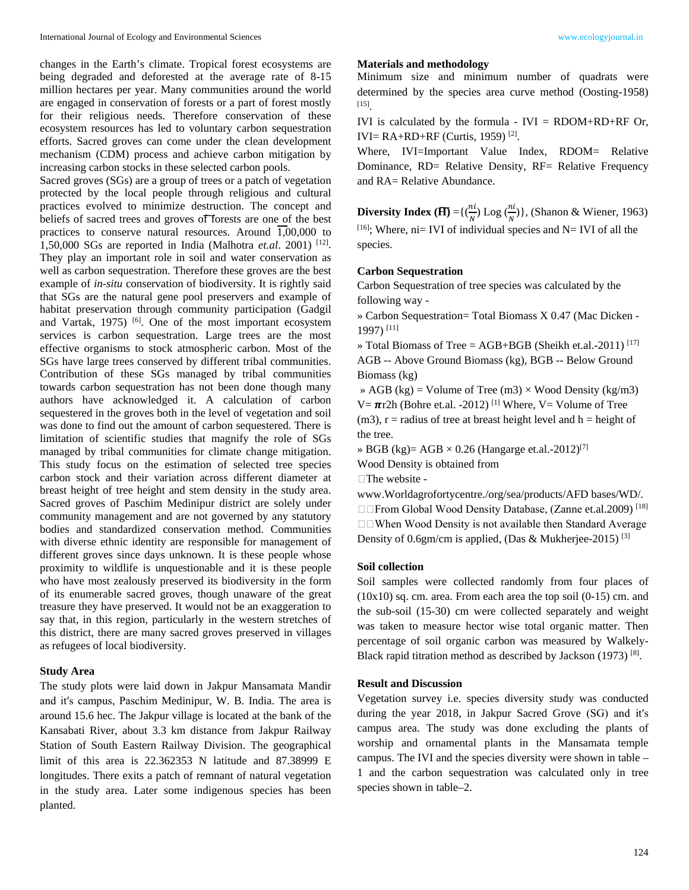changes in the Earth's climate. Tropical forest ecosystems are being degraded and deforested at the average rate of 8-15 million hectares per year. Many communities around the world are engaged in conservation of forests or a part of forest mostly for their religious needs. Therefore conservation of these ecosystem resources has led to voluntary carbon sequestration efforts. Sacred groves can come under the clean development mechanism (CDM) process and achieve carbon mitigation by increasing carbon stocks in these selected carbon pools.

Sacred groves (SGs) are a group of trees or a patch of vegetation protected by the local people through religious and cultural practices evolved to minimize destruction. The concept and beliefs of sacred trees and groves of forests are one of the best practices to conserve natural resources. Around  $\overline{1,00,000}$  to 1,50,000 SGs are reported in India (Malhotra *et.al*. 2001) [12] . They play an important role in soil and water conservation as well as carbon sequestration. Therefore these groves are the best example of *in-situ* conservation of biodiversity. It is rightly said that SGs are the natural gene pool preservers and example of habitat preservation through community participation (Gadgil and Vartak, 1975) <sup>[6]</sup>. One of the most important ecosystem services is carbon sequestration. Large trees are the most effective organisms to stock atmospheric carbon. Most of the SGs have large trees conserved by different tribal communities. Contribution of these SGs managed by tribal communities towards carbon sequestration has not been done though many authors have acknowledged it. A calculation of carbon sequestered in the groves both in the level of vegetation and soil was done to find out the amount of carbon sequestered. There is limitation of scientific studies that magnify the role of SGs managed by tribal communities for climate change mitigation. This study focus on the estimation of selected tree species carbon stock and their variation across different diameter at breast height of tree height and stem density in the study area. Sacred groves of Paschim Medinipur district are solely under community management and are not governed by any statutory bodies and standardized conservation method. Communities with diverse ethnic identity are responsible for management of different groves since days unknown. It is these people whose proximity to wildlife is unquestionable and it is these people who have most zealously preserved its biodiversity in the form of its enumerable sacred groves, though unaware of the great treasure they have preserved. It would not be an exaggeration to say that, in this region, particularly in the western stretches of this district, there are many sacred groves preserved in villages as refugees of local biodiversity.

### **Study Area**

The study plots were laid down in Jakpur Mansamata Mandir and it′s campus, Paschim Medinipur, W. B. India. The area is around 15.6 hec. The Jakpur village is located at the bank of the Kansabati River, about 3.3 km distance from Jakpur Railway Station of South Eastern Railway Division. The geographical limit of this area is 22.362353 N latitude and 87.38999 E longitudes. There exits a patch of remnant of natural vegetation in the study area. Later some indigenous species has been planted.

#### **Materials and methodology**

Minimum size and minimum number of quadrats were determined by the species area curve method (Oosting-1958) [15].

IVI is calculated by the formula - IVI =  $RDOM+RD+RF$  Or, IVI=  $RA+RD+RF$  (Curtis, 1959)<sup>[2]</sup>.

Where, IVI=Important Value Index, RDOM= Relative Dominance, RD= Relative Density, RF= Relative Frequency and RA= Relative Abundance.

**Diversity Index (** $\overline{\mathbf{H}}$ **)** ={ $\left(\frac{n}{N}\right)$  Log  $\left(\frac{n}{N}\right)$ }, (Shanon & Wiener, 1963)  $[16]$ ; Where, ni= IVI of individual species and N= IVI of all the species.

### **Carbon Sequestration**

Carbon Sequestration of tree species was calculated by the following way -

» Carbon Sequestration= Total Biomass X 0.47 (Mac Dicken - 1997) [11]

» Total Biomass of Tree = AGB+BGB (Sheikh et.al.-2011) [17] AGB -- Above Ground Biomass (kg), BGB -- Below Ground Biomass (kg)

» AGB (kg) = Volume of Tree (m3)  $\times$  Wood Density (kg/m3)  $V = \pi r^2 h$  (Bohre et.al. -2012)<sup>[1]</sup> Where, V = Volume of Tree  $(m3)$ , r = radius of tree at breast height level and h = height of the tree.

» BGB (kg)= AGB  $\times$  0.26 (Hangarge et.al.-2012)<sup>[7]</sup>

Wood Density is obtained from

 $\Box$  The website -

www.Worldagrofortycentre./org/sea/products/AFD bases/WD/. □□From Global Wood Density Database, (Zanne et.al.2009)<sup>[18]</sup> □□When Wood Density is not available then Standard Average Density of 0.6gm/cm is applied, (Das & Mukherjee-2015) [3]

#### **Soil collection**

Soil samples were collected randomly from four places of  $(10x10)$  sq. cm. area. From each area the top soil  $(0-15)$  cm. and the sub-soil (15-30) cm were collected separately and weight was taken to measure hector wise total organic matter. Then percentage of soil organic carbon was measured by Walkely-Black rapid titration method as described by Jackson (1973)<sup>[8]</sup>.

### **Result and Discussion**

Vegetation survey i.e. species diversity study was conducted during the year 2018, in Jakpur Sacred Grove (SG) and it′s campus area. The study was done excluding the plants of worship and ornamental plants in the Mansamata temple campus. The IVI and the species diversity were shown in table – 1 and the carbon sequestration was calculated only in tree species shown in table–2.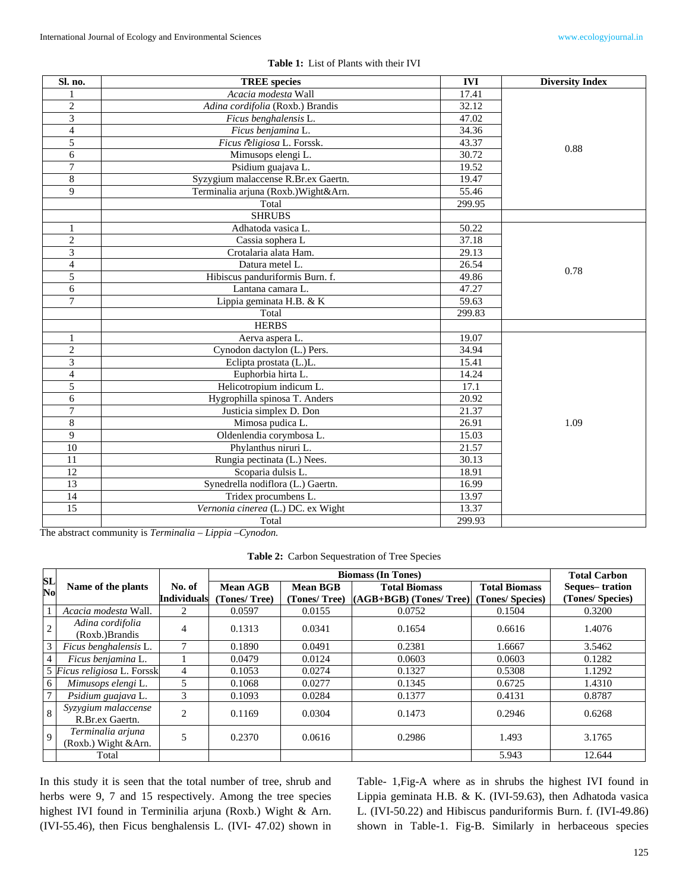| Sl. no.        | <b>TREE</b> species                  | <b>IVI</b> | <b>Diversity Index</b> |
|----------------|--------------------------------------|------------|------------------------|
|                | Acacia modesta Wall                  | 17.41      |                        |
| 2              | Adina cordifolia (Roxb.) Brandis     | 32.12      |                        |
| 3              | Ficus benghalensis L.                | 47.02      |                        |
| 4              | Ficus benjamina L.                   | 34.36      |                        |
| 5              | Ficus religiosa L. Forssk.           | 43.37      |                        |
| 6              | Mimusops elengi L.                   | 30.72      | 0.88                   |
| 7              | Psidium guajava L.                   | 19.52      |                        |
| 8              | Syzygium malaccense R.Br.ex Gaertn.  | 19.47      |                        |
| 9              | Terminalia arjuna (Roxb.) Wight&Arn. | 55.46      |                        |
|                | Total                                | 299.95     |                        |
|                | <b>SHRUBS</b>                        |            |                        |
|                | Adhatoda vasica L.                   | 50.22      |                        |
| $\overline{c}$ | Cassia sophera L                     | 37.18      |                        |
| 3              | Crotalaria alata Ham.                | 29.13      |                        |
| $\overline{4}$ | Datura metel L.                      | 26.54      |                        |
| 5              | Hibiscus panduriformis Burn. f.      | 0.78       |                        |
| 6              | Lantana camara L.                    | 47.27      |                        |
| $\overline{7}$ | Lippia geminata H.B. & K             | 59.63      |                        |
|                | Total                                | 299.83     |                        |
|                | <b>HERBS</b>                         |            |                        |
| 1              | Aerva aspera L.                      | 19.07      |                        |
| $\overline{2}$ | Cynodon dactylon (L.) Pers.          | 34.94      |                        |
| 3              | Eclipta prostata (L.)L.              | 15.41      |                        |
| $\overline{4}$ | Euphorbia hirta L.                   | 14.24      |                        |
| 5              | Helicotropium indicum L.             | 17.1       |                        |
| 6              | Hygrophilla spinosa T. Anders        | 20.92      |                        |
| 7              | Justicia simplex D. Don              | 21.37      |                        |
| 8              | Mimosa pudica L.                     | 1.09       |                        |
| 9              | Oldenlendia corymbosa L.             | 15.03      |                        |
| 10             | Phylanthus niruri L.                 | 21.57      |                        |
| 11             | Rungia pectinata (L.) Nees.          | 30.13      |                        |
| 12             | Scoparia dulsis L.                   | 18.91      |                        |
| 13             | Synedrella nodiflora (L.) Gaertn.    | 16.99      |                        |
| 14             | Tridex procumbens L.                 | 13.97      |                        |
| 15             | Vernonia cinerea (L.) DC. ex Wight   | 13.37      |                        |
|                | Total                                | 299.93     |                        |

|  | <b>Table 1:</b> List of Plants with their IVI |  |
|--|-----------------------------------------------|--|
|--|-----------------------------------------------|--|

The abstract community is *Terminalia – Lippia –Cynodon.*

**Table 2:** Carbon Sequestration of Tree Species

|                |                                           |                              |                          | <b>Total Carbon</b>             |                                                  |                                          |                                    |
|----------------|-------------------------------------------|------------------------------|--------------------------|---------------------------------|--------------------------------------------------|------------------------------------------|------------------------------------|
| SL<br>No       | Name of the plants                        | No. of<br><b>Individuals</b> | Mean AGB<br>(Tones/Tree) | <b>Mean BGB</b><br>(Tones/Tree) | <b>Total Biomass</b><br>$(AGB+BGB)$ (Tones/Tree) | <b>Total Biomass</b><br>(Tones/ Species) | Seques-tration<br>(Tones/ Species) |
|                | Acacia modesta Wall.                      | $\overline{2}$               | 0.0597                   | 0.0155                          | 0.0752                                           | 0.1504                                   | 0.3200                             |
| $\overline{c}$ | Adina cordifolia<br>(Roxb.)Brandis        | $\overline{4}$               | 0.1313                   | 0.0341                          | 0.1654                                           | 0.6616                                   | 1.4076                             |
| 3              | Ficus benghalensis L.                     | $\mathbf{r}$                 | 0.1890                   | 0.0491                          | 0.2381                                           | 1.6667                                   | 3.5462                             |
| $\overline{4}$ | Ficus benjamina L.                        |                              | 0.0479                   | 0.0124                          | 0.0603                                           | 0.0603                                   | 0.1282                             |
|                | 5 Ficus religiosa L. Forssk               | $\overline{4}$               | 0.1053                   | 0.0274                          | 0.1327                                           | 0.5308                                   | 1.1292                             |
| 6              | Mimusops elengi L.                        | 5                            | 0.1068                   | 0.0277                          | 0.1345                                           | 0.6725                                   | 1.4310                             |
| $\overline{7}$ | Psidium guajava L.                        | 3                            | 0.1093                   | 0.0284                          | 0.1377                                           | 0.4131                                   | 0.8787                             |
| 8              | Syzygium malaccense<br>R.Br.ex Gaertn.    | $\mathcal{D}_{\mathcal{L}}$  | 0.1169                   | 0.0304                          | 0.1473                                           | 0.2946                                   | 0.6268                             |
| 9              | Terminalia arjuna<br>(Roxb.) Wight & Arn. | 5                            | 0.2370                   | 0.0616                          | 0.2986                                           | 1.493                                    | 3.1765                             |
|                | Total                                     |                              |                          |                                 |                                                  | 5.943                                    | 12.644                             |

In this study it is seen that the total number of tree, shrub and herbs were 9, 7 and 15 respectively. Among the tree species highest IVI found in Terminilia arjuna (Roxb.) Wight & Arn. (IVI-55.46), then Ficus benghalensis L. (IVI- 47.02) shown in

Table- 1,Fig-A where as in shrubs the highest IVI found in Lippia geminata H.B. & K. (IVI-59.63), then Adhatoda vasica L. (IVI-50.22) and Hibiscus panduriformis Burn. f. (IVI-49.86) shown in Table-1. Fig-B. Similarly in herbaceous species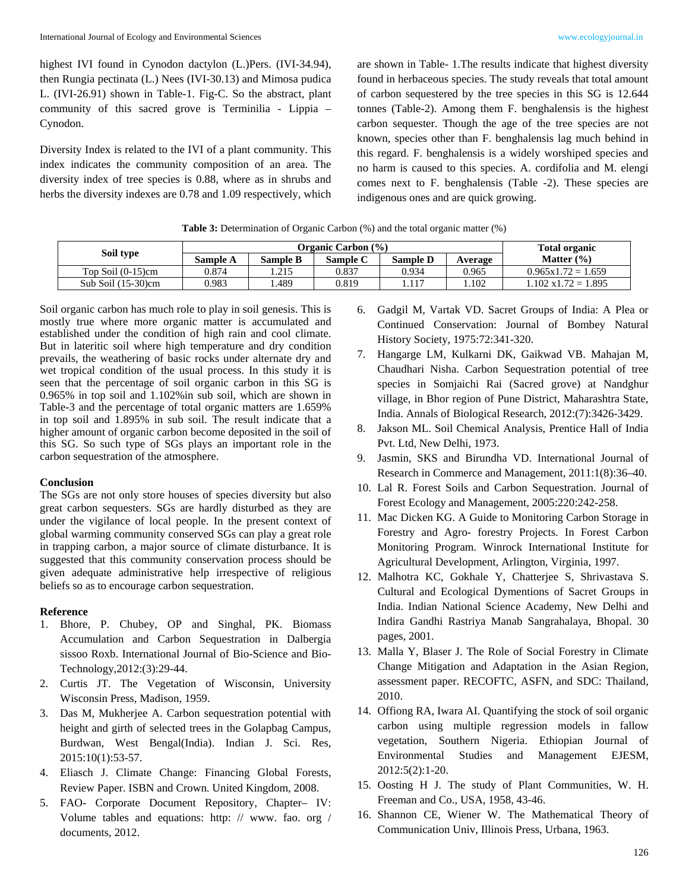highest IVI found in Cynodon dactylon (L.)Pers. (IVI-34.94), then Rungia pectinata (L.) Nees (IVI-30.13) and Mimosa pudica L. (IVI-26.91) shown in Table-1. Fig-C. So the abstract, plant community of this sacred grove is Terminilia - Lippia – Cynodon.

Diversity Index is related to the IVI of a plant community. This index indicates the community composition of an area. The diversity index of tree species is 0.88, where as in shrubs and herbs the diversity indexes are 0.78 and 1.09 respectively, which are shown in Table- 1.The results indicate that highest diversity found in herbaceous species. The study reveals that total amount of carbon sequestered by the tree species in this SG is 12.644 tonnes (Table-2). Among them F. benghalensis is the highest carbon sequester. Though the age of the tree species are not known, species other than F. benghalensis lag much behind in this regard. F. benghalensis is a widely worshiped species and no harm is caused to this species. A. cordifolia and M. elengi comes next to F. benghalensis (Table -2). These species are indigenous ones and are quick growing.

| <b>Table 3:</b> Determination of Organic Carbon (%) and the total organic matter (%) |  |  |  |
|--------------------------------------------------------------------------------------|--|--|--|
|--------------------------------------------------------------------------------------|--|--|--|

| Soil type             | <b>Organic Carbon</b> (%) |                 |          |                 |         | <b>Total organic</b>        |  |
|-----------------------|---------------------------|-----------------|----------|-----------------|---------|-----------------------------|--|
|                       | Sample A                  | <b>Sample B</b> | Sample C | <b>Sample D</b> | Average | Matter $(\% )$              |  |
| Top Soil $(0-15)$ cm  | 0.874                     | 1.215           | 0.837    | 0.934           | 0.965   | $0.965x1.72 = 1.659$        |  |
| Sub Soil $(15-30)$ cm | 0.983                     | .489            | 0.819    | 1.117           | 1.102   | $1.102 \times 1.72 = 1.895$ |  |

Soil organic carbon has much role to play in soil genesis. This is mostly true where more organic matter is accumulated and established under the condition of high rain and cool climate. But in lateritic soil where high temperature and dry condition prevails, the weathering of basic rocks under alternate dry and wet tropical condition of the usual process. In this study it is seen that the percentage of soil organic carbon in this SG is 0.965% in top soil and 1.102%in sub soil, which are shown in Table-3 and the percentage of total organic matters are 1.659% in top soil and 1.895% in sub soil. The result indicate that a higher amount of organic carbon become deposited in the soil of this SG. So such type of SGs plays an important role in the carbon sequestration of the atmosphere.

#### **Conclusion**

The SGs are not only store houses of species diversity but also great carbon sequesters. SGs are hardly disturbed as they are under the vigilance of local people. In the present context of global warming community conserved SGs can play a great role in trapping carbon, a major source of climate disturbance. It is suggested that this community conservation process should be given adequate administrative help irrespective of religious beliefs so as to encourage carbon sequestration.

#### **Reference**

- 1. Bhore, P. Chubey, OP and Singhal, PK. Biomass Accumulation and Carbon Sequestration in Dalbergia sissoo Roxb. International Journal of Bio-Science and Bio-Technology,2012:(3):29-44.
- 2. Curtis JT. The Vegetation of Wisconsin, University Wisconsin Press, Madison, 1959.
- 3. Das M, Mukherjee A. Carbon sequestration potential with height and girth of selected trees in the Golapbag Campus, Burdwan, West Bengal(India). Indian J. Sci. Res, 2015:10(1):53-57.
- 4. Eliasch J. Climate Change: Financing Global Forests, Review Paper. ISBN and Crown. United Kingdom, 2008.
- 5. FAO- Corporate Document Repository, Chapter– IV: Volume tables and equations: http: // www. fao. org / documents, 2012.
- 6. Gadgil M, Vartak VD. Sacret Groups of India: A Plea or Continued Conservation: Journal of Bombey Natural History Society, 1975:72:341-320.
- 7. Hangarge LM, Kulkarni DK, Gaikwad VB. Mahajan M, Chaudhari Nisha. Carbon Sequestration potential of tree species in Somjaichi Rai (Sacred grove) at Nandghur village, in Bhor region of Pune District, Maharashtra State, India. Annals of Biological Research, 2012:(7):3426-3429.
- 8. Jakson ML. Soil Chemical Analysis, Prentice Hall of India Pvt. Ltd, New Delhi, 1973.
- 9. Jasmin, SKS and Birundha VD. International Journal of Research in Commerce and Management, 2011:1(8):36–40.
- 10. Lal R. Forest Soils and Carbon Sequestration. Journal of Forest Ecology and Management, 2005:220:242-258.
- 11. Mac Dicken KG. A Guide to Monitoring Carbon Storage in Forestry and Agro- forestry Projects. In Forest Carbon Monitoring Program. Winrock International Institute for Agricultural Development, Arlington, Virginia, 1997.
- 12. Malhotra KC, Gokhale Y, Chatterjee S, Shrivastava S. Cultural and Ecological Dymentions of Sacret Groups in India. Indian National Science Academy, New Delhi and Indira Gandhi Rastriya Manab Sangrahalaya, Bhopal. 30 pages, 2001.
- 13. Malla Y, Blaser J. The Role of Social Forestry in Climate Change Mitigation and Adaptation in the Asian Region, assessment paper. RECOFTC, ASFN, and SDC: Thailand, 2010.
- 14. Offiong RA, Iwara AI. Quantifying the stock of soil organic carbon using multiple regression models in fallow vegetation, Southern Nigeria. Ethiopian Journal of Environmental Studies and Management EJESM, 2012:5(2):1-20.
- 15. Oosting H J. The study of Plant Communities, W. H. Freeman and Co., USA, 1958, 43-46.
- 16. Shannon CE, Wiener W. The Mathematical Theory of Communication Univ, Illinois Press, Urbana, 1963.